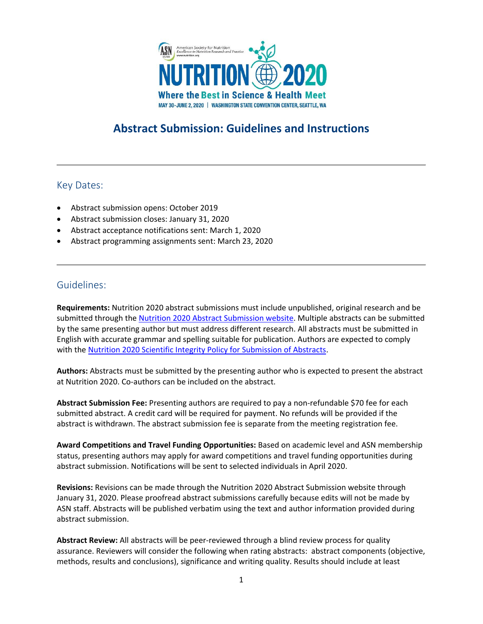

# **Abstract Submission: Guidelines and Instructions**

## Key Dates:

- Abstract submission opens: October 2019
- Abstract submission closes: January 31, 2020
- Abstract acceptance notifications sent: March 1, 2020
- Abstract programming assignments sent: March 23, 2020

# Guidelines:

**Requirements:** Nutrition 2020 abstract submissions must include unpublished, original research and be submitted through the Nutrition 2020 [Abstract Submission website.](https://nutrition.link/abstract-submission-2020) Multiple abstracts can be submitted by the same presenting author but must address different research. All abstracts must be submitted in English with accurate grammar and spelling suitable for publication. Authors are expected to comply with the Nutrition 2020 [Scientific Integrity Policy for Submission of Abstracts.](https://meeting.nutrition.org/general-information/)

**Authors:** Abstracts must be submitted by the presenting author who is expected to present the abstract at Nutrition 2020. Co-authors can be included on the abstract.

**Abstract Submission Fee:** Presenting authors are required to pay a non-refundable \$70 fee for each submitted abstract. A credit card will be required for payment. No refunds will be provided if the abstract is withdrawn. The abstract submission fee is separate from the meeting registration fee.

**Award Competitions and Travel Funding Opportunities:** Based on academic level and ASN membership status, presenting authors may apply for award competitions and travel funding opportunities during abstract submission. Notifications will be sent to selected individuals in April 2020.

**Revisions:** Revisions can be made through the Nutrition 2020 Abstract Submission website through January 31, 2020. Please proofread abstract submissions carefully because edits will not be made by ASN staff. Abstracts will be published verbatim using the text and author information provided during abstract submission.

**Abstract Review:** All abstracts will be peer-reviewed through a blind review process for quality assurance. Reviewers will consider the following when rating abstracts: abstract components (objective, methods, results and conclusions), significance and writing quality. Results should include at least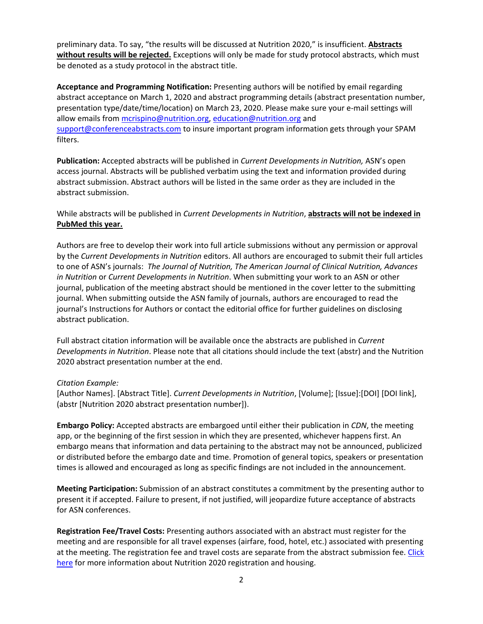preliminary data. To say, "the results will be discussed at Nutrition 2020," is insufficient. **Abstracts without results will be rejected.** Exceptions will only be made for study protocol abstracts, which must be denoted as a study protocol in the abstract title.

**Acceptance and Programming Notification:** Presenting authors will be notified by email regarding abstract acceptance on March 1, 2020 and abstract programming details (abstract presentation number, presentation type/date/time/location) on March 23, 2020. Please make sure your e-mail settings will allow emails from [mcrispino@nutrition.org,](mailto:mcrispino@nutrition.org) [education@nutrition.org](mailto:education@nutrition.org) and [support@conferenceabstracts.com](mailto:support@conferenceabstracts.com) to insure important program information gets through your SPAM filters.

**Publication:** Accepted abstracts will be published in *Current Developments in Nutrition,* ASN's open access journal. Abstracts will be published verbatim using the text and information provided during abstract submission. Abstract authors will be listed in the same order as they are included in the abstract submission.

## While abstracts will be published in *Current Developments in Nutrition*, **abstracts will not be indexed in PubMed this year.**

Authors are free to develop their work into full article submissions without any permission or approval by the *Current Developments in Nutrition* editors. All authors are encouraged to submit their full articles to one of ASN's journals: *The Journal of Nutrition, The American Journal of Clinical Nutrition, Advances in Nutrition* or *Current Developments in Nutrition*. When submitting your work to an ASN or other journal, publication of the meeting abstract should be mentioned in the cover letter to the submitting journal. When submitting outside the ASN family of journals, authors are encouraged to read the journal's Instructions for Authors or contact the editorial office for further guidelines on disclosing abstract publication.

Full abstract citation information will be available once the abstracts are published in *Current Developments in Nutrition*. Please note that all citations should include the text (abstr) and the Nutrition 2020 abstract presentation number at the end.

#### *Citation Example:*

[Author Names]. [Abstract Title]. *Current Developments in Nutrition*, [Volume]; [Issue]:[DOI] [DOI link], (abstr [Nutrition 2020 abstract presentation number]).

**Embargo Policy:** Accepted abstracts are embargoed until either their publication in *CDN*, the meeting app, or the beginning of the first session in which they are presented, whichever happens first. An embargo means that information and data pertaining to the abstract may not be announced, publicized or distributed before the embargo date and time. Promotion of general topics, speakers or presentation times is allowed and encouraged as long as specific findings are not included in the announcement.

**Meeting Participation:** Submission of an abstract constitutes a commitment by the presenting author to present it if accepted. Failure to present, if not justified, will jeopardize future acceptance of abstracts for ASN conferences.

**Registration Fee/Travel Costs:** Presenting authors associated with an abstract must register for the meeting and are responsible for all travel expenses (airfare, food, hotel, etc.) associated with presenting at the meeting. The registration fee and travel costs are separate from the abstract submission fee. [Click](https://meeting.nutrition.org/registration-housing/)  [here](https://meeting.nutrition.org/registration-housing/) for more information about Nutrition 2020 registration and housing.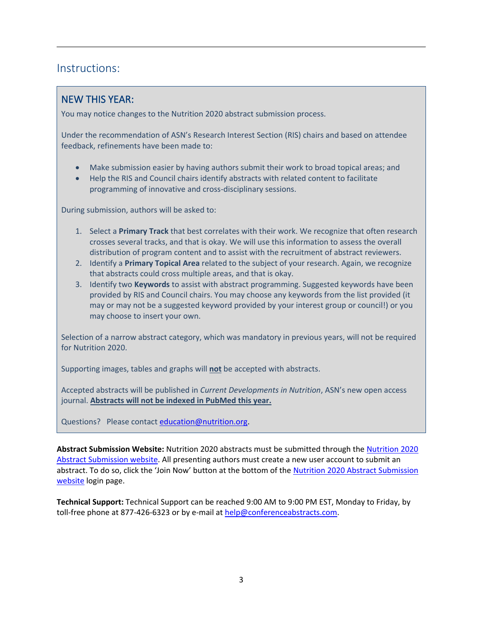# Instructions:

# NEW THIS YEAR:

You may notice changes to the Nutrition 2020 abstract submission process.

Under the recommendation of ASN's Research Interest Section (RIS) chairs and based on attendee feedback, refinements have been made to:

- Make submission easier by having authors submit their work to broad topical areas; and
- Help the RIS and Council chairs identify abstracts with related content to facilitate programming of innovative and cross-disciplinary sessions.

During submission, authors will be asked to:

- 1. Select a **Primary Track** that best correlates with their work. We recognize that often research crosses several tracks, and that is okay. We will use this information to assess the overall distribution of program content and to assist with the recruitment of abstract reviewers.
- 2. Identify a **Primary Topical Area** related to the subject of your research. Again, we recognize that abstracts could cross multiple areas, and that is okay.
- 3. Identify two **Keywords** to assist with abstract programming. Suggested keywords have been provided by RIS and Council chairs. You may choose any keywords from the list provided (it may or may not be a suggested keyword provided by your interest group or council!) or you may choose to insert your own.

Selection of a narrow abstract category, which was mandatory in previous years, will not be required for Nutrition 2020.

Supporting images, tables and graphs will **not** be accepted with abstracts.

Accepted abstracts will be published in *Current Developments in Nutrition*, ASN's new open access journal. **Abstracts will not be indexed in PubMed this year.**

Questions? Please contact [education@nutrition.org.](mailto:education@nutrition.org)

**Abstract Submission Website:** Nutrition 2020 abstracts must be submitted through the [Nutrition 2020](https://nutrition.link/abstract-submission-2020)  [Abstract Submission website.](https://nutrition.link/abstract-submission-2020) All presenting authors must create a new user account to submit an abstract. To do so, click the 'Join Now' button at the bottom of the [Nutrition 2020 Abstract Submission](https://www.abstractscorecard.com/cfp/submit/login.asp?EventKey=WYAQFKJL)  [website](https://www.abstractscorecard.com/cfp/submit/login.asp?EventKey=WYAQFKJL) login page.

**Technical Support:** Technical Support can be reached 9:00 AM to 9:00 PM EST, Monday to Friday, by toll-free phone at 877-426-6323 or by e-mail at [help@conferenceabstracts.com.](mailto:help@conferenceabstracts.com)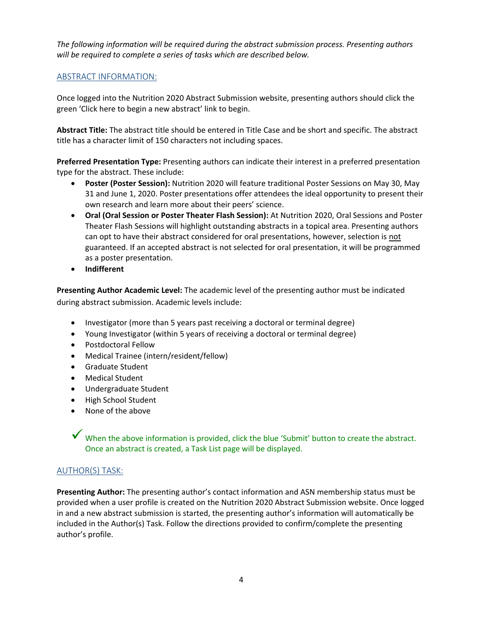*The following information will be required during the abstract submission process. Presenting authors will be required to complete a series of tasks which are described below.* 

#### ABSTRACT INFORMATION:

Once logged into the Nutrition 2020 Abstract Submission website, presenting authors should click the green 'Click here to begin a new abstract' link to begin.

**Abstract Title:** The abstract title should be entered in Title Case and be short and specific. The abstract title has a character limit of 150 characters not including spaces.

**Preferred Presentation Type:** Presenting authors can indicate their interest in a preferred presentation type for the abstract. These include:

- **Poster (Poster Session):** Nutrition 2020 will feature traditional Poster Sessions on May 30, May 31 and June 1, 2020. Poster presentations offer attendees the ideal opportunity to present their own research and learn more about their peers' science.
- **Oral (Oral Session or Poster Theater Flash Session):** At Nutrition 2020, Oral Sessions and Poster Theater Flash Sessions will highlight outstanding abstracts in a topical area. Presenting authors can opt to have their abstract considered for oral presentations, however, selection is not guaranteed. If an accepted abstract is not selected for oral presentation, it will be programmed as a poster presentation.
- **Indifferent**

**Presenting Author Academic Level:** The academic level of the presenting author must be indicated during abstract submission. Academic levels include:

- Investigator (more than 5 years past receiving a doctoral or terminal degree)
- Young Investigator (within 5 years of receiving a doctoral or terminal degree)
- Postdoctoral Fellow
- Medical Trainee (intern/resident/fellow)
- Graduate Student
- Medical Student
- Undergraduate Student
- High School Student
- None of the above

✓ When the above information is provided, click the blue 'Submit' button to create the abstract. Once an abstract is created, a Task List page will be displayed.

## AUTHOR(S) TASK:

**Presenting Author:** The presenting author's contact information and ASN membership status must be provided when a user profile is created on the Nutrition 2020 Abstract Submission website. Once logged in and a new abstract submission is started, the presenting author's information will automatically be included in the Author(s) Task. Follow the directions provided to confirm/complete the presenting author's profile.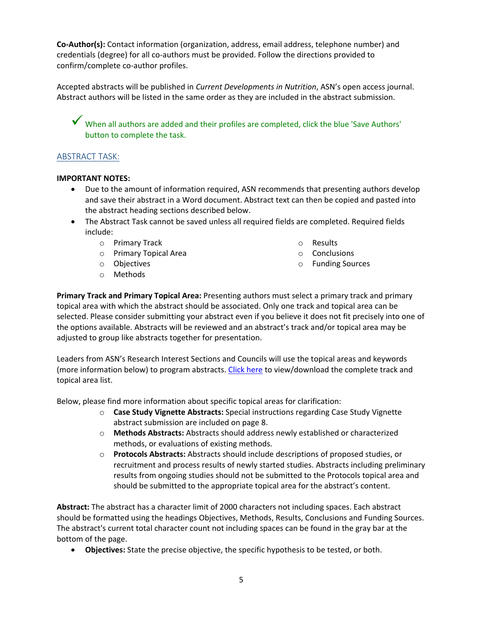**Co-Author(s):** Contact information (organization, address, email address, telephone number) and credentials (degree) for all co-authors must be provided. Follow the directions provided to confirm/complete co-author profiles.

Accepted abstracts will be published in *Current Developments in Nutrition*, ASN's open access journal. Abstract authors will be listed in the same order as they are included in the abstract submission.

 $\checkmark$  When all authors are added and their profiles are completed, click the blue 'Save Authors' button to complete the task.

## ABSTRACT TASK:

#### **IMPORTANT NOTES:**

- Due to the amount of information required, ASN recommends that presenting authors develop and save their abstract in a Word document. Abstract text can then be copied and pasted into the abstract heading sections described below.
- The Abstract Task cannot be saved unless all required fields are completed. Required fields include:
	- o Primary Track
	- o Primary Topical Area
	- o Objectives
	- o Methods
- o Results
- o Conclusions
- o Funding Sources

**Primary Track and Primary Topical Area:** Presenting authors must select a primary track and primary topical area with which the abstract should be associated. Only one track and topical area can be selected. Please consider submitting your abstract even if you believe it does not fit precisely into one of the options available. Abstracts will be reviewed and an abstract's track and/or topical area may be adjusted to group like abstracts together for presentation.

Leaders from ASN's Research Interest Sections and Councils will use the topical areas and keywords (more information below) to program abstracts. [Click here](https://meeting.nutrition.org/wp-content/uploads/2019/10/N20-Abstract-Track-and-Topical-Area-List.pdf) to view/download the complete track and topical area list.

Below, please find more information about specific topical areas for clarification:

- o **Case Study Vignette Abstracts:** Special instructions regarding Case Study Vignette abstract submission are included on page 8.
- o **Methods Abstracts:** Abstracts should address newly established or characterized methods, or evaluations of existing methods.
- o **Protocols Abstracts:** Abstracts should include descriptions of proposed studies, or recruitment and process results of newly started studies. Abstracts including preliminary results from ongoing studies should not be submitted to the Protocols topical area and should be submitted to the appropriate topical area for the abstract's content.

**Abstract:** The abstract has a character limit of 2000 characters not including spaces. Each abstract should be formatted using the headings Objectives, Methods, Results, Conclusions and Funding Sources. The abstract's current total character count not including spaces can be found in the gray bar at the bottom of the page.

• **Objectives:** State the precise objective, the specific hypothesis to be tested, or both.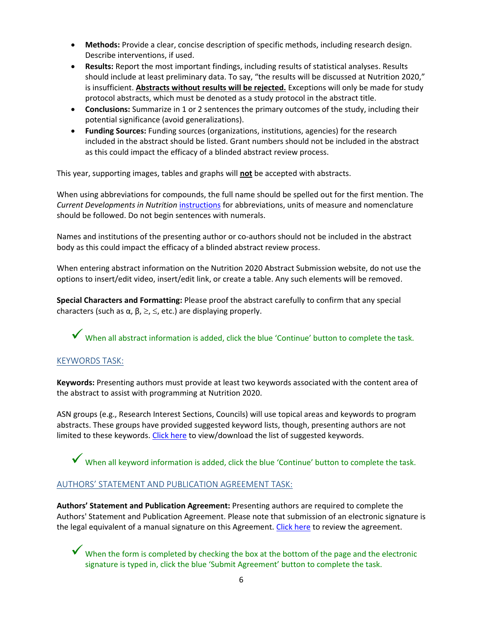- **Methods:** Provide a clear, concise description of specific methods, including research design. Describe interventions, if used.
- **Results:** Report the most important findings, including results of statistical analyses. Results should include at least preliminary data. To say, "the results will be discussed at Nutrition 2020," is insufficient. **Abstracts without results will be rejected.** Exceptions will only be made for study protocol abstracts, which must be denoted as a study protocol in the abstract title.
- **Conclusions:** Summarize in 1 or 2 sentences the primary outcomes of the study, including their potential significance (avoid generalizations).
- **Funding Sources:** Funding sources (organizations, institutions, agencies) for the research included in the abstract should be listed. Grant numbers should not be included in the abstract as this could impact the efficacy of a blinded abstract review process.

This year, supporting images, tables and graphs will **not** be accepted with abstracts.

When using abbreviations for compounds, the full name should be spelled out for the first mention. The *Current Developments in Nutrition* [instructions](https://academic.oup.com/cdn/pages/General_Instructions#Manuscript%20Preparation) for abbreviations, units of measure and nomenclature should be followed. Do not begin sentences with numerals.

Names and institutions of the presenting author or co-authors should not be included in the abstract body as this could impact the efficacy of a blinded abstract review process.

When entering abstract information on the Nutrition 2020 Abstract Submission website, do not use the options to insert/edit video, insert/edit link, or create a table. Any such elements will be removed.

**Special Characters and Formatting:** Please proof the abstract carefully to confirm that any special characters (such as  $\alpha$ ,  $\beta$ ,  $\geq$ ,  $\leq$ , etc.) are displaying properly.

✓ When all abstract information is added, click the blue 'Continue' button to complete the task.

## KEYWORDS TASK:

**Keywords:** Presenting authors must provide at least two keywords associated with the content area of the abstract to assist with programming at Nutrition 2020.

ASN groups (e.g., Research Interest Sections, Councils) will use topical areas and keywords to program abstracts. These groups have provided suggested keyword lists, though, presenting authors are not limited to these keywords. [Click here](https://meeting.nutrition.org/wp-content/uploads/2019/10/N20-Abstract-Keywords-By-Topical-Area.pdf) to view/download the list of suggested keywords.

✓ When all keyword information is added, click the blue 'Continue' button to complete the task.

## AUTHORS' STATEMENT AND PUBLICATION AGREEMENT TASK:

**Authors' Statement and Publication Agreement:** Presenting authors are required to complete the Authors' Statement and Publication Agreement. Please note that submission of an electronic signature is the legal equivalent of a manual signature on this Agreement. [Click here](https://meeting.nutrition.org/wp-content/uploads/2019/10/N20-Authors-Statement-and-Publication-Agreement.pdf) to review the agreement.

 $\blacktriangledown$  When the form is completed by checking the box at the bottom of the page and the electronic signature is typed in, click the blue 'Submit Agreement' button to complete the task.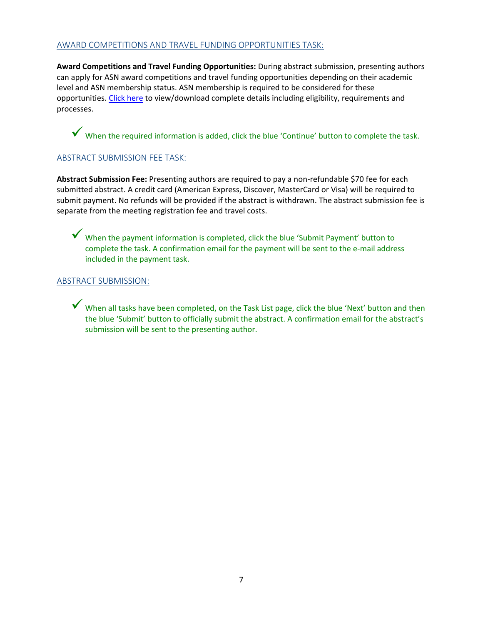## AWARD COMPETITIONS AND TRAVEL FUNDING OPPORTUNITIES TASK:

**Award Competitions and Travel Funding Opportunities:** During abstract submission, presenting authors can apply for ASN award competitions and travel funding opportunities depending on their academic level and ASN membership status. ASN membership is required to be considered for these opportunities. [Click here](https://meeting.nutrition.org/wp-content/uploads/2019/09/N20-Award-Competitions-and-Travel-Funding-Opportunities.pdf) to view/download complete details including eligibility, requirements and processes.

✓ When the required information is added, click the blue 'Continue' button to complete the task.

## ABSTRACT SUBMISSION FEE TASK:

**Abstract Submission Fee:** Presenting authors are required to pay a non-refundable \$70 fee for each submitted abstract. A credit card (American Express, Discover, MasterCard or Visa) will be required to submit payment. No refunds will be provided if the abstract is withdrawn. The abstract submission fee is separate from the meeting registration fee and travel costs.

✓ When the payment information is completed, click the blue 'Submit Payment' button to complete the task. A confirmation email for the payment will be sent to the e-mail address included in the payment task.

#### ABSTRACT SUBMISSION:

✓ When all tasks have been completed, on the Task List page, click the blue 'Next' button and then the blue 'Submit' button to officially submit the abstract. A confirmation email for the abstract's submission will be sent to the presenting author.